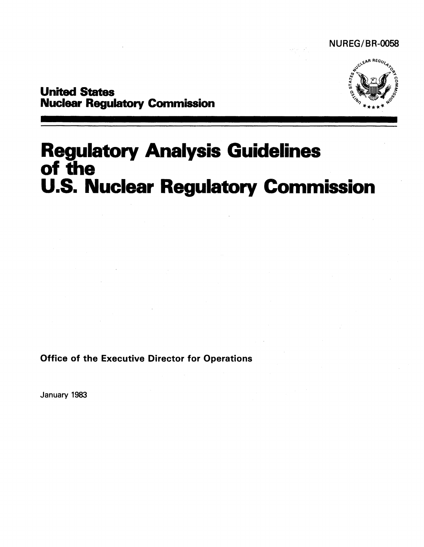

United States Nuclear Regulatory Commission

# Regulatory Analysis Guidelines of the U.S. Nuclear Regulatory Commission

Office of the Executive Director for Operations

January 1983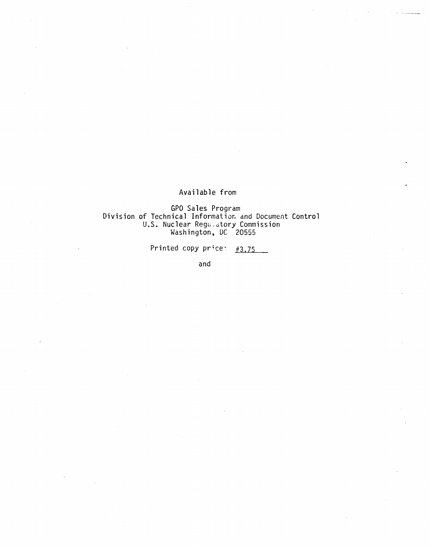# Available from

GPO Sales Program Division of Technical Informatior. and Document Control U.S. Nuclear Regu.atory Commission Washington, UC 20555

Printed copy price:  $#3.75$ 

and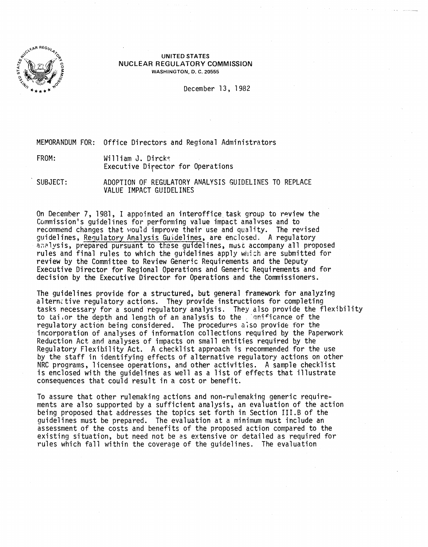

# UNITED STATES NUCLEAR REGULATORY COMMISSION WASHINGTON, D. C. 20555

December 13, 1982

MEMORANDUM FOR: Office Directors and Regional Administrators

FROM: William J. Dircks Executive Director for Operations

SUBJECT: ADOPTION OF REGULATORY ANALYSIS GUIDELINES TO REPLACE VALUE IMPACT GUIDELINES

On December 7, 1981, I appointed an interoffice task group to review the Commission's guidelines for performing value impact analvses and to recommend changes that would improve their use and quality. The revised guidelines, Regulatory Analysis Guidelines, are enclosed. A regulatory<br>analysis, prepared pursuant to these guidelines, must accompany all proposed<br>rules and final rules to which the quidelines apply which are submitted fo review by the Committee to Review Generic Requirements and the Deputy Executive Director for Regional Operations and Generic Requirements and for decision by the Executive Director for Operations and the Commissioners.

The guidelines provide for a structured, but general framework for analyzing<br>alternative regulatory actions. They provide instructions for completing<br>tasks necessary for a sound regulatory analysis. They also provide the f to tai or the depth and length of an analysis to the . anificance of the regulatory action being considered. The procedures also provide for the incorporation of analyses of information collections required by the Paperwork Reduction Act and analyses of impacts on small entities required by the Regulatory Flexibility Act. A checklist approach is recommended for the use by the staff in identifying effects of alternative regulatory actions on other NRC programs, licensee operations, and other activities. A sample checklist is enclosed with the guidelines as well as a list of effects that illustrate consequences that could result in a cost or benefit.

To assure that other rulemaking actions and non-rulemaking generic requirements are also supported by a sufficient analysis, an evaluation of the action being proposed that addresses the topics set forth in Section III.B of the guidelines must be prepared. The evaluation at a minimum must include an assessment of the costs and benefits of the proposed action compared to the existing situation, but need not be as extensive or detailed as required for rules which fall within the coverage of the guidelines. The evaluation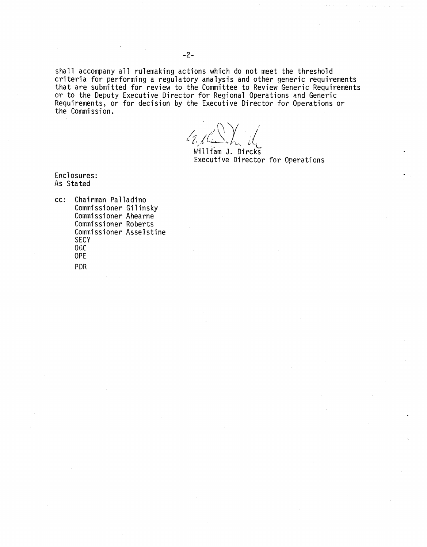shall accompany all rulemaking actions which do not meet the threshold criteria for performing a regulatory analysis and other generic requirements that are submitted for review to the Committee to Review Generic Requirements or to the Deputy Executive Director for Regional Operations and Generic Requirements, or for decision by the Executive Director for Operations or the Commission.

 $4$  , the sun in the

William J. Dircks Executive Director for Operations

Enclosures: As Stated

cc: Chairman Palladino Commissioner Ahearne Commissioner Roberts Commissioner Asselstine **SECY** OGC OPE PDR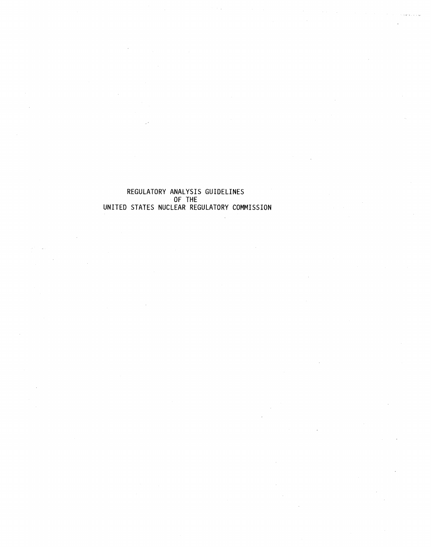REGULATORY ANALYSIS GUIDELINES OF THE UNITED STATES NUCLEAR REGULATORY COMMISSION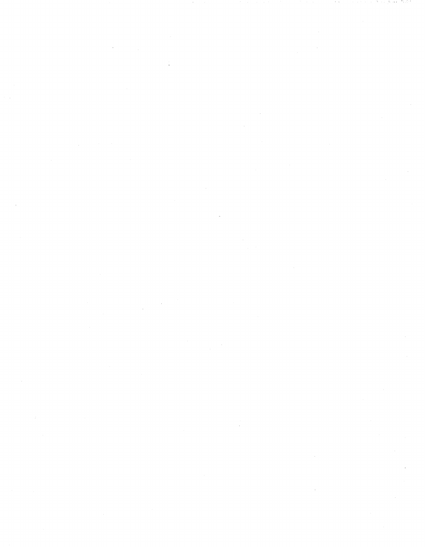$\label{eq:2.1} \frac{d\mathbf{y}}{d\mathbf{x}} = \frac{1}{2} \sum_{i=1}^n \frac{d\mathbf{y}}{d\mathbf{x}} \mathbf{y}_i \mathbf{y}_i \mathbf{y}_i \mathbf{y}_i \mathbf{y}_i \mathbf{y}_i \mathbf{y}_i \mathbf{y}_i \mathbf{y}_i$  $\label{eq:2.1} \frac{d\mathbf{r}}{dt} = \frac{1}{2} \left( \frac{d\mathbf{r}}{dt} + \frac{d\mathbf{r}}{dt} \right)$  $\label{eq:2.1} \begin{split} \mathcal{L}_{\text{max}}(\mathcal{L}_{\text{max}}) = \mathcal{L}_{\text{max}}(\mathcal{L}_{\text{max}}) \end{split}$ 

 $\mathcal{O}(\mathcal{O}_\mathcal{O})$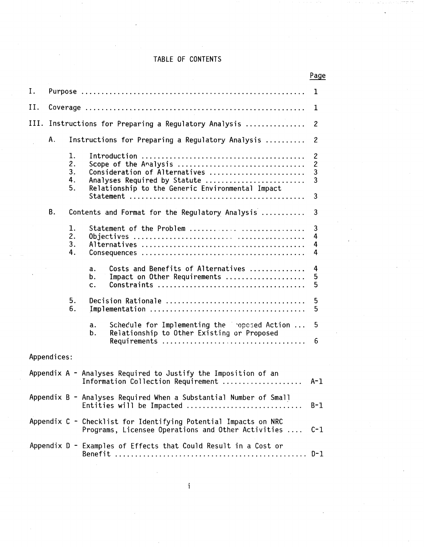# TABLE OF CONTENTS

|     |             |                            |                                                                                                                                            | Page                                          |
|-----|-------------|----------------------------|--------------------------------------------------------------------------------------------------------------------------------------------|-----------------------------------------------|
| Ι.  |             |                            |                                                                                                                                            | 1                                             |
| II. |             |                            |                                                                                                                                            | 1                                             |
|     |             |                            | III. Instructions for Preparing a Regulatory Analysis                                                                                      | $\overline{2}$                                |
|     | Α.          |                            | Instructions for Preparing a Regulatory Analysis                                                                                           | $\overline{2}$                                |
|     |             | 1.<br>2.<br>3.<br>4.<br>5. | Scope of the Analysis<br>Consideration of Alternatives<br>Analyses Required by Statute<br>Relationship to the Generic Environmental Impact | $\mathbf{2}$<br>$\overline{c}$<br>3<br>3<br>3 |
|     | B.          |                            | Contents and Format for the Regulatory Analysis                                                                                            | 3                                             |
|     |             | 1.<br>2.<br>3.<br>4.       | Statement of the Problem                                                                                                                   | 3<br>4<br>4<br>4                              |
|     |             |                            | Costs and Benefits of Alternatives<br>a.<br>Impact on Other Requirements<br>b.<br>c.                                                       | 4<br>5<br>5                                   |
|     |             | 5.<br>6.                   | Decision Rationale                                                                                                                         | 5<br>5                                        |
|     |             |                            | Schedule for Implementing the coposed Action<br>a.<br>Relationship to Other Existing or Proposed<br>b.                                     | 5<br>6                                        |
|     | Appendices: |                            |                                                                                                                                            |                                               |
|     |             |                            | Appendix A - Analyses Required to Justify the Imposition of an<br>Information Collection Requirement                                       | $A-1$                                         |
|     |             |                            | Appendix B - Analyses Required When a Substantial Number of Small<br>Entities will be Impacted                                             | $B-1$                                         |
|     |             |                            | Appendix C - Checklist for Identifying Potential Impacts on NRC<br>Programs, Licensee Operations and Other Activities                      | $C-1$                                         |
|     |             |                            | Appendix D - Examples of Effects that Could Result in a Cost or                                                                            |                                               |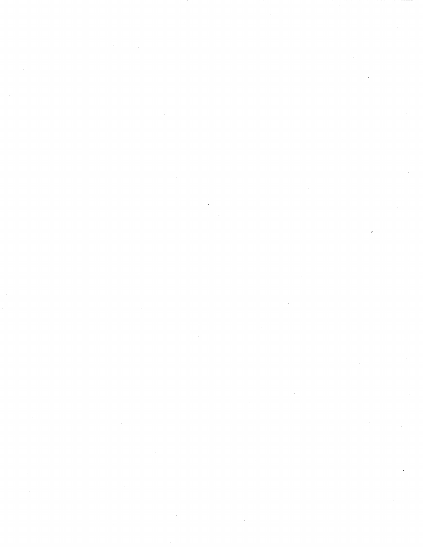$\label{eq:2.1} \frac{1}{2} \sum_{i=1}^n \frac{1}{2} \sum_{j=1}^n \frac{1}{2} \sum_{j=1}^n \frac{1}{2} \sum_{j=1}^n \frac{1}{2} \sum_{j=1}^n \frac{1}{2} \sum_{j=1}^n \frac{1}{2} \sum_{j=1}^n \frac{1}{2} \sum_{j=1}^n \frac{1}{2} \sum_{j=1}^n \frac{1}{2} \sum_{j=1}^n \frac{1}{2} \sum_{j=1}^n \frac{1}{2} \sum_{j=1}^n \frac{1}{2} \sum_{j=1}^n \frac{$  $\label{eq:2.1} \frac{d\mathbf{r}}{d\mathbf{r}} = \frac{1}{2} \sum_{i=1}^n \frac{d\mathbf{r}}{d\mathbf{r}} \left( \frac{d\mathbf{r}}{d\mathbf{r}} \right)^2 \left( \frac{d\mathbf{r}}{d\mathbf{r}} \right)^2 \left( \frac{d\mathbf{r}}{d\mathbf{r}} \right)^2 \left( \frac{d\mathbf{r}}{d\mathbf{r}} \right)^2 \left( \frac{d\mathbf{r}}{d\mathbf{r}} \right)^2 \left( \frac{d\mathbf{r}}{d\mathbf{r}} \right)^2 \left( \frac{d\$  $\label{eq:3.1} \mathcal{P}(\mathcal{P}) = \mathcal{P}(\mathcal{P})$  $\label{eq:2} \frac{1}{\sqrt{2}}\sum_{i=1}^n\frac{1}{\sqrt{2}}\sum_{i=1}^n\frac{1}{\sqrt{2}}\sum_{i=1}^n\frac{1}{\sqrt{2}}\sum_{i=1}^n\frac{1}{\sqrt{2}}\sum_{i=1}^n\frac{1}{\sqrt{2}}\sum_{i=1}^n\frac{1}{\sqrt{2}}\sum_{i=1}^n\frac{1}{\sqrt{2}}\sum_{i=1}^n\frac{1}{\sqrt{2}}\sum_{i=1}^n\frac{1}{\sqrt{2}}\sum_{i=1}^n\frac{1}{\sqrt{2}}\sum_{i=1}^n\frac{1$  $\label{eq:2.1} \frac{1}{\sqrt{2}}\sum_{i=1}^n\frac{1}{\sqrt{2}}\left(\frac{1}{\sqrt{2}}\sum_{i=1}^n\frac{1}{\sqrt{2}}\right)^2\left(\frac{1}{\sqrt{2}}\sum_{i=1}^n\frac{1}{\sqrt{2}}\right)^2.$  $\label{eq:2.1} \frac{1}{2}\sum_{i=1}^n\frac{1}{2}\sum_{i=1}^n\frac{1}{2}\sum_{i=1}^n\frac{1}{2}\sum_{i=1}^n\frac{1}{2}\sum_{i=1}^n\frac{1}{2}\sum_{i=1}^n\frac{1}{2}\sum_{i=1}^n\frac{1}{2}\sum_{i=1}^n\frac{1}{2}\sum_{i=1}^n\frac{1}{2}\sum_{i=1}^n\frac{1}{2}\sum_{i=1}^n\frac{1}{2}\sum_{i=1}^n\frac{1}{2}\sum_{i=1}^n\frac{1}{2}\sum_{i=1}^n\$  $\label{eq:2.1} \frac{1}{\sqrt{2}}\sum_{i=1}^n\frac{1}{\sqrt{2}}\sum_{i=1}^n\frac{1}{\sqrt{2}}\sum_{i=1}^n\frac{1}{\sqrt{2}}\sum_{i=1}^n\frac{1}{\sqrt{2}}\sum_{i=1}^n\frac{1}{\sqrt{2}}\sum_{i=1}^n\frac{1}{\sqrt{2}}\sum_{i=1}^n\frac{1}{\sqrt{2}}\sum_{i=1}^n\frac{1}{\sqrt{2}}\sum_{i=1}^n\frac{1}{\sqrt{2}}\sum_{i=1}^n\frac{1}{\sqrt{2}}\sum_{i=1}^n\frac$  $\mathcal{O}(\frac{1}{2})$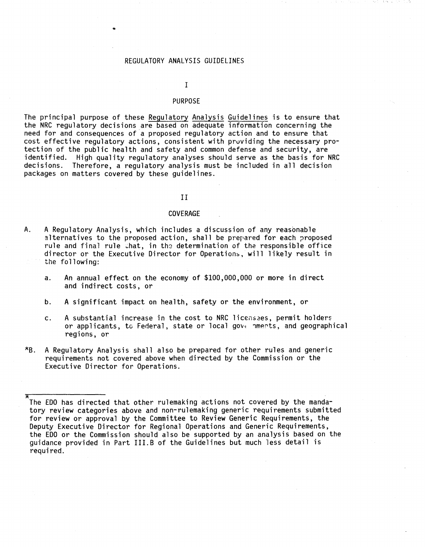# REGULATORY ANALYSIS GUIDELINES

0

#### I

#### PURPOSE

The principal purpose of these Regulatory Analysis Guidelines is to ensure that the NRC regulatory decisions are based on adequate information concerning the need for and consequences of a proposed regulatory action and to ensure that cost effective regulatory actions, consistent with providing the necessary protection of the public health and safety and common defense and security, are identified. High quality regulatory analyses should serve as the basis for NRC<br>decisions. Therefore, a regulatory analysis must be included in all decision Therefore, a regulatory analysis must be included in all decision packages on matters covered by these guidelines.

# II

#### COVERAGE

- A. A Regulatory Analysis, which includes a discussion of any reasonable alternatives to the proposed action, shall be prepared for each proposed rule and final rule that, in the determination of the responsible office director or the Executive Director for Operations, will likely result in the following:
	- a. An annual effect on the economy of \$100,000,000 or more in direct and indirect costs, or
	- b. A significant impact on health, safety or the environment, or
	- c. A substantial increase in the cost to NRC licensees, permit holders or applicants, to Federal, state or local gove nments, and geographical regions, or
- \*B. A Regulatory Analysis shall also be prepared for other rules and generic requirements not covered above when directed by the Commission or the Executive Director for Operations.

The EDO has directed that other rulemaking actions not covered by the mandatory review categories above and non-rulemaking generic requirements submitted for review or approval by the Committee to Review Generic Requirements, the Deputy Executive Director for Regional Operations and Generic Requirements, the EDO or the Commission should also be supported by an analysis based on the guidance provided in Part III.B of the Guidelines but much less detail is required.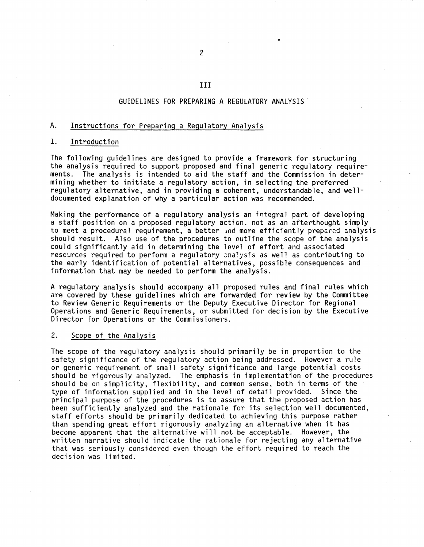#### GUIDELINES FOR PREPARING A REGULATORY ANALYSIS.

#### A. Instructions for Preparing a Regulatory Analysis

# 1. Introduction

The following guidelines are designed to provide a framework for structuring the analysis required to support proposed and final generic regulatory require-The analysis is intended to aid the staff and the Commission in determining whether to initiate a regulatory action, in selecting the preferred regulatory alternative, and in providing a coherent, understandable, and welldocumented explanation of why a particular action was recommended.

Making the performance of a regulatory analysis an integral part of developing a staff position on a proposed regulatory action. not as an afterthought simply to meet a procedural requirement, a better ind more efficiently prepared analysis should result. Also use of the procedures to outline the scope of the analysis could significantly aid in determining the level of effort and associated rescurces required to perform a regulatory analysis as well as contributing to the early identification of potential alternatives, possible consequences and information that may be needed to perform the analysis.

A regulatory analysis should accompany all proposed rules and final rules which are covered by these guidelines which are forwarded for review by the Committee to Review Generic Requirements or the Deputy Executive Director for Regional Operations and Generic-Requirements, or submitted for decision by the Executive Director for Operations or the Commissioners.

# *2.* Scope of the Analysis

The scope of the regulatory analysis should primarily be in proportion to the safety significance of the regulatory action being addressed. However a rule or generic requirement of small safety significance and large potential costs should be rigorously analyzed. The emphasis in implementation of the procedures should be on simplicity, flexibility, and common sense, both in terms of the type of information supplied and in the level of detail provided. Since the principal purpose of the procedures is to assure that the proposed action has been sufficiently analyzed and the rationale for its selection well documented, staff efforts should be primarily dedicated to achieving this purpose rather than spending great effort rigorously analyzing an alternative when it has become apparent that the alternative will not be acceptable. However, the written narrative should indicate the rationale for rejecting any alternative that was seriously considered even though the effort required to reach the decision was limited.

#### III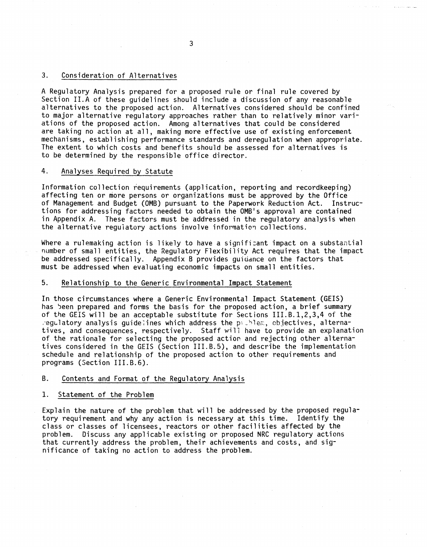# 3. Consideration of Alternatives

A Regulatory Analysis prepared for a proposed rule or final rule covered by Section II.A of these guidelines should include a discussion of any reasonable alternatives to the proposed action. Alternatives considered should be confined to major alternative regulatory approaches rather than to relatively minor variations of the proposed action. Among alternatives that could be considered are taking no action at all, making more effective use of existing enforcement mechanisms, establishing performance standards and deregulation when appropriate. The extent to which costs and benefits should be assessed for alternatives is to be determined by the responsible office director.

# 4. Analyses Required by Statute

Information collection requirements (application, reporting and recordkeeping) affecting ten or more persons or organizations must be approved by the Office of Management and Budget (OMB) pursuant to the Paperwork Reduction Act. Instructions for addressing factors needed to obtain the OMB's approval are contained in Appendix A. These factors must be addressed in the regulatory analysis when the alternative regulatory actions involve information collections.

Where a rulemaking action is likely to have a signifi:ant impact on a substantial number of small entities, the Regulatory Flexibility Act requires that the impact be addressed specifically. Appendix B provides quidance on the factors that must be addressed when evaluating economic impacts on small entities.

# 5. Relationship to the Generic Environmental Impact Statement

In those circumstances where a Generic Environmental Impact Statement (GElS) has )een prepared and forms the basis for the proposed action, a brief summary of the GEIS will be an acceptable substitute for Sections III.B.1,2,3,4 of the regulatory analysis quidelines which address the pichlem, objectives, alternatives, and consequences, respectively. Staff will have to provide an explanation of the rationale for selecting the proposed action and rejecting other alternatives considered in the GElS (Section III.B.5), and describe the implementation schedule and relationship of the proposed action to other requirements and programs (Section 11I.B.6).

# B. Contents and Format of the Regulatory Analysis

#### 1. Statement of the Problem

Explain the nature of the problem that will be addressed by the proposed regulatory requirement and why any action is necessary at this time. Identify the class or classes of licensees, reactors or other facilities affected by the problem. Discuss any applicable existing or proposed NRC regulatory actions that currently address the problem, their achievements and costs, and significance of taking no action to address the problem.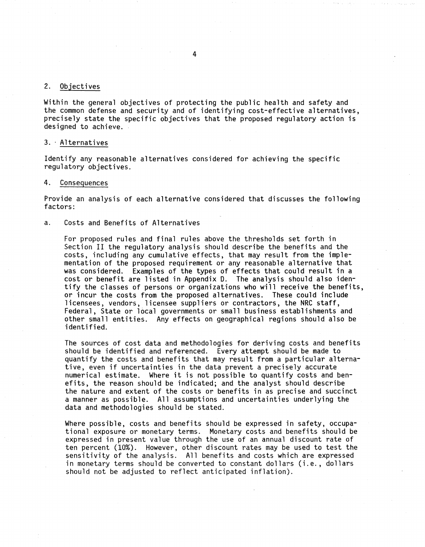# 2. Objectives

Within the general objectives of protecting the public health and safety and the common defense and security and of identifying cost-effective alternatives, precisely state the specific objectives that the proposed regulatory action is designed to achieve.

#### 3. · Alternatives

Identify any reasonable alternatives considered for achieving the specific regulatory objectives.

#### 4. Consequences

Provide an analysis of each alternative considered that discusses the following factors:

a. Costs and Benefits of Alternatives

For proposed rules and final rules above the thresholds set forth in Section II the regulatory analysis should describe the benefits and the costs, including any cumulative effects, that may result from the implementation of the proposed requirement or any reasonable alternative that was considered. Examples of the types of effects that could result in a cost or benefit are listed in Appendix D. The analysis should also identify the classes of persons or organizations who will receive the benefits, or incur the costs from the proposed alternatives. These could include licensees, vendors, licensee suppliers or contractors, the NRC staff, Federal, State or local governments or small business establishments and other small entities. Any effects on geographical regions should also be identified.

The sources of cost data and methodologies for deriving costs and benefits should be identified and referenced. Every attempt should be made to quantify the costs and benefits that may result from a particular alternative, even if uncertainties in the data prevent a precisely accurate numerical estimate. Where it is not possible to quantify costs and benefits, the reason should be indicated; and the analyst should describe the nature and extent of the costs or benefits in as precise and succinct a manner as possible. All assumptions and uncertainties underlying the data and methodologies should be stated.

Where possible, costs and benefits should be expressed in safety, occupational exposure or monetary terms. Monetary costs and benefits should be expressed in present value through the use of an annual discount rate of ten percent (10%). However, other discount rates may be used to test the sensitivity of the analysis. All benefits and costs which are expressed in monetary terms should be converted to constant dollars (i.e., dollars should not be adjusted to reflect anticipated inflation).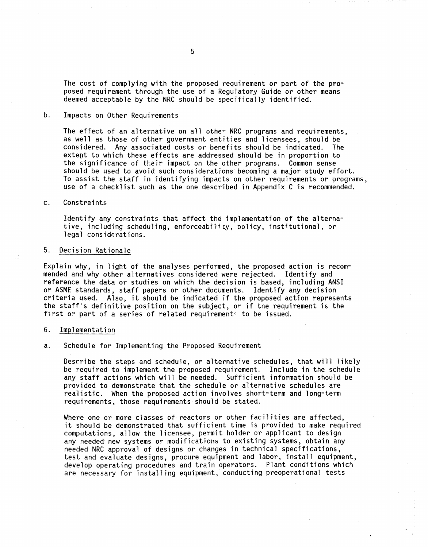The cost of complying with the proposed requirement or part of the proposed requirement through the use of a Regulatory Guide or other means deemed acceptable by the NRC should be specifically identified.

#### b. Impacts on Other Requirements

The effect of an alternative on all other NRC programs and requirements, as well as those of other government entities and licensees, should be considered. Any associated costs or benefits should be indicated. The considered. Any associated costs or benefits should be indicated. extent to which these effects are addressed should be in proportion to the significance of their impact on the other programs. Common sense should be used to avoid such considerations becoming a major study effort. To assist the staff in identifying impacts on other requirements or programs, use of a checklist such as the one described in Appendix C is recommended.

#### c. Constraints

Identify any constraints that affect the implementation of the alternative, including scheduling, enforceabilicy, oolicy, institutional, or legal considerations.

#### 5. Decision Rationale

Explain why, in light of the analyses performed, the proposed action is recommended and why other alternatives considered were rejected. Identify and reference the data or studies on which the decision is based, including ANSI or ASME standards, staff papers or other documents. Identify any decision criteria used. Also, it should be indicated if the proposed action represents the staff's definitive position on the subject, or if the requirement is the first or part of a series of related requirements to be issued.

#### 6. Implementation

#### a. Schedule for Implementing the Proposed Requirement

Describe the steps and schedule, or alternative schedules, that will likely be required to implement the proposed requirement. Include in the schedule any staff actions which will be needed. Sufficient information should be provided to demonstrate that the schedule or alternative schedules are realistic. When the proposed action involves short-term and long-term requirements, those requirements should be stated.

Where one or more classes of reactors or other facilities are affected, it should be demonstrated that sufficient time is provided to make required computations, allow the licensee, permit holder or applicant to design any needed new systems or modifications to existing systems, obtain any needed NRC approval of designs or changes in technical specifications, test and evaluate designs, procure equipment and labor, install equipment, develop operating procedures and train operators. Plant conditions which are necessary for installing equipment, conducting preoperational tests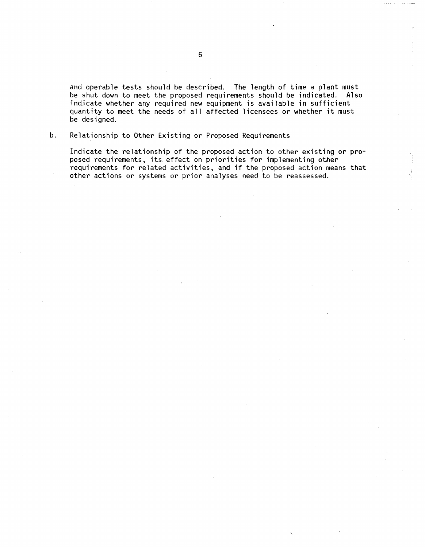and operable tests should be described. The length of time a plant must be shut down to meet the proposed requirements should be indicated. Also indicate whether any required new equipment is available in sufficient quantity to meet the needs of all affected licensees or whether it must be designed.

b. Relationship to Other Existing or Proposed Requirements

Indicate the relationship of the proposed action to other existing or proposed requirements, its effect on priorities for implementing other requirements for related activities, and if the proposed action means that other actions or systems or prior analyses need to be reassessed.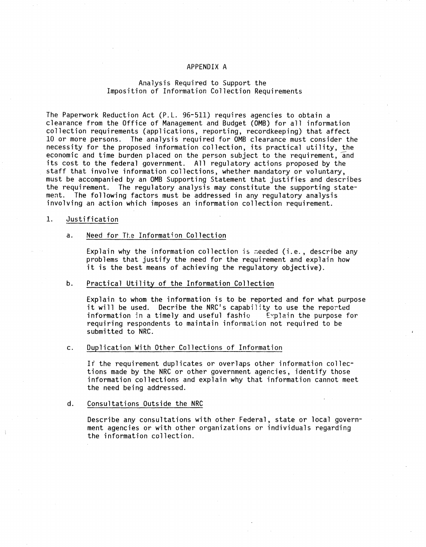# APPENDIX A

# Analysis Required to Support the Imposition of Information Collection Requirements

The Paperwork Reduction Act (P.L. 96-511) requires agencies to obtain a clearance from the Office of Management and Budget (OMB) for all information collection requirements (applications, reporting, recordkeeping) that affect 10 or more persons. The analysis required for OMB clearance must consider the necessity for the proposed information collection, its practical utility, the economic and time burden placed on the person subject to the requirement, and its cost to the federal government. All regulatory actions proposed by the staff that involve information collections, whether mandatory or voluntary, must be accompanied by an OMB Supporting Statement that justifies and describes the requirement. The regulatory analysis may constitute the supporting state-<br>ment. The following factors must be addressed in any requlatory analysis The following factors must be addressed in any regulatory analysis involving an action which imposes an information collection requirement.

#### 1. Justification

#### a. Need for The Information Collection

Explain why the information collection is needed (i.e., describe any problems that justify the need for the requirement and explain how it is the best means of achieving the regulatory objective).

# b. Practical Utility of the Information Collection

Explain to whom the information is to be reported and for what purpose it will be used. Decribe the NRC's capability to use the reported<br>information in a timely and useful fashio Explain the purpose for information in a timely and useful fashio requiring respondents to maintain information not required to be submitted to NRC.

#### c. Duplication With Other Collections of Information

If the requirement duplicates or overlaps other information collections made by the NRC or other government agencies, identify those information collections and explain why that information cannot meet the need being addressed.

#### d. Consultations Outside the NRC

Describe any consultations with other Federal, state or local government agencies or with other organizations or individuals regarding the information collection.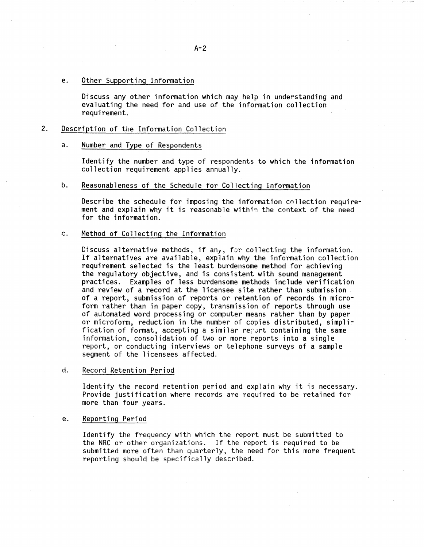# e. Other Supporting Information

Discuss any other information which may help in understanding and evaluating the need for and use of the information collection requirement.

# 2. Description of tile Information Collection

# a. Number and Type of Respondents

Identify the number and type of respondents to which the information collection requirement applies annually.

#### b. Reasonableness of the Schedule for Collecting Information

Describe the schedule for imposing the information collection requirement and explain why it is reasonable within the context of the need for the information.

#### c. Method of Collecting the Information

Ciscuss alternative methods, if any, for collecting the information. If alternatives are available, explain why the information collection requirement selected is the least burdensome method for achieving the regulatory objective, and is consistent with sound management practices. Examples of less burdensome methods include verification and review of a record at the licensee site rather than submission of a report, submission of reports or retention of records in microform rather than in paper copy, transmission of reports through use of automated word processing or computer means rather than by paper or microform, reduction in the number of copies distributed, simplification of format, accepting a similar report containing the same information, consolidation of two or more reports into a single report, or conducting interviews or telephone surveys of a sample segment of the licensees affected.

#### d. Record Retention Period

Identify the record retention period and explain why it is necessary. Provide justification where records are required to be retained for more than four years.

# e. Reporting Period

Identify the frequency with which the report must be submitted to the NRC or other organizations. If the report is required to be submitted more often than quarterly, the need for this more frequent reporting should be specifically described.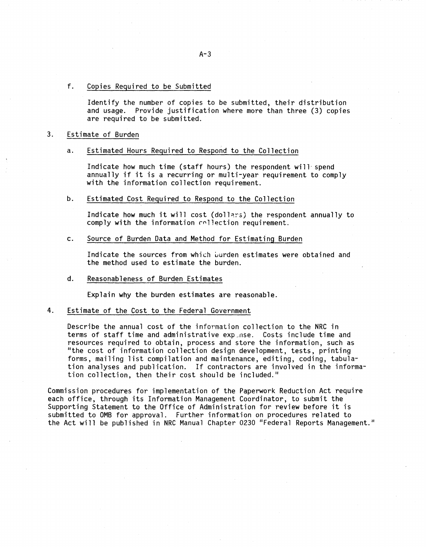# f. Copies Required to be Submitted

Identify the number of copies to be submitted, their distribution and usage. Provide justification where more than three (3) copies are required to be submitted.

#### 3. Estimate of Burden

#### a. Estimated Hours Required to Respond to the Collection

Indicate how much time (staff hours) the respondent will· spend annually if it is a recurring or multi-year requirement to comply with the information collection requirement.

#### b. Estimated Cost Required to Respond to the Collection

Indicate how much it will cost (dollars) the respondent annually to comply with the information collection requirement.

#### c. Source of Burden Data and Method for Estimating Burden

Indicate the sources from which burden estimates were obtained and the method used to estimate the burden.

#### d. Reasonableness of Burden Estimates

Explain why the burden estimates are reasonable.

#### 4. Estimate of the Cost to the Federal Government

Describe the annual cost of the information collection to the NRC in terms of staff time and administrative exp\_nse. Costs include time and resources required to obtain, process and store the information, such as "the cost of information collection design development, tests, printing forms, mailing list compilation and maintenance, editing, coding, tabulation analyses and publication. If contractors are involved in the information collection, then their cost should be included."

Commission procedures for implementation of the Paperwork Reduction Act require each office, through its Information Management Coordinator, to submit the Supporting Statement to the Office of Administration for review before it is submitted to OMB for approval. Further information on procedures related to the Act will be published in NRC Manual Chapter 0230 "Federal Reports Management."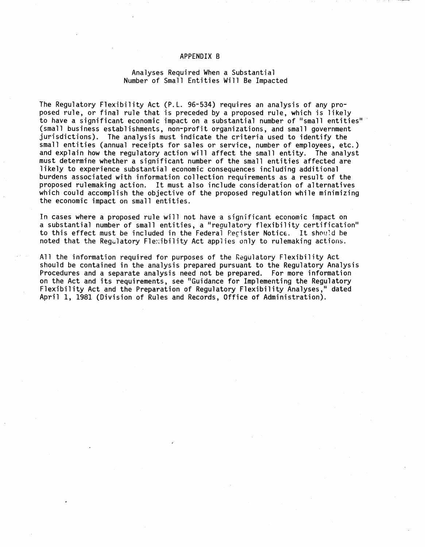#### APPENDIX 8

#### Analyses Required When a Substantial Number of Small Entities Will Be Impacted

The Regulatory Flexibility Act (P.L. 96-534) requires an analysis of any proposed rule, or final rule that is preceded by a proposed rule, which is likely to have a significant economic impact on a substantial number of "small entities" (small business establishments, non-profit organizations, and small government jurisdictions). The analysis must indicate the criteria used to identify the small entities (annual receipts for sales or service, number of employees, etc.) and explain how the regulatory action will affect the small entity. The analyst must determine whether a significant number of the small entities affected are likely to experience substantial economic consequences including additional burdens associated with information collection requirements as a result of the proposed rulemaking action. It must also include consideration of alternatives which could accomplish the objective of the proposed regulation while minimizing the economic impact on small entities.

In cases where a proposed rule will not have a significant economic impact on a substantial number of small entities, a "regulatory flexibility certification"<br>to this effect must be included in the Federal Pecister Notice. It should be noted that the Regulatory Flexibility Act applies only to rulemaking actions.

All the information required for purposes of the Requlatory Flexibility Act should be contained in the analysis prepared pursuant to the Regulatory Analysis Procedures and a separate analysis need not be prepared. For more information on the Act and its requirements, see "Guidance for Implementing the Regulatory Flexibility Act and the Preparation of Regulatory Flexibility Analyses," dated April 1, 1981 (Division of Rules and Records, Office of Administration).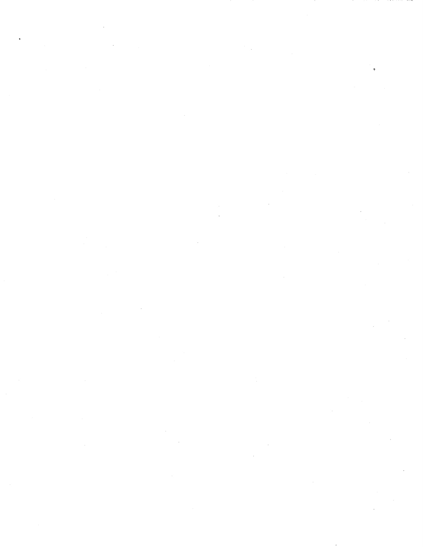$\label{eq:2.1} \frac{1}{\sqrt{2}}\int_{\mathbb{R}^3}\frac{1}{\sqrt{2}}\left(\frac{1}{\sqrt{2}}\int_{\mathbb{R}^3}\frac{1}{\sqrt{2}}\left(\frac{1}{\sqrt{2}}\int_{\mathbb{R}^3}\frac{1}{\sqrt{2}}\left(\frac{1}{\sqrt{2}}\int_{\mathbb{R}^3}\frac{1}{\sqrt{2}}\right)\frac{1}{\sqrt{2}}\right)\frac{1}{\sqrt{2}}\right)=\frac{1}{2}\int_{\mathbb{R}^3}\frac{1}{\sqrt{2}}\int_{\mathbb{R}^3}\frac{1}{\sqrt{2}}\left(\frac{1$  $\label{eq:2.1} \frac{1}{\sqrt{2}}\int_{0}^{\infty}\frac{dx}{\sqrt{2\pi}}\,dx\leq \frac{1}{2}\int_{0}^{\infty}\frac{dx}{\sqrt{2\pi}}\,dx.$  $\label{eq:2.1} \frac{1}{\sqrt{2\pi}}\int_{0}^{\infty}\frac{1}{\sqrt{2\pi}}\left(\frac{1}{\sqrt{2\pi}}\right)^{2\alpha} \frac{1}{\sqrt{2\pi}}\frac{1}{\sqrt{2\pi}}\frac{1}{\sqrt{2\pi}}\frac{1}{\sqrt{2\pi}}\frac{1}{\sqrt{2\pi}}\frac{1}{\sqrt{2\pi}}\frac{1}{\sqrt{2\pi}}\frac{1}{\sqrt{2\pi}}\frac{1}{\sqrt{2\pi}}\frac{1}{\sqrt{2\pi}}\frac{1}{\sqrt{2\pi}}\frac{1}{\sqrt{2\pi}}\frac{1}{\sqrt{2\pi}}$  $\label{eq:2} \frac{1}{\sqrt{2}}\sum_{i=1}^n\frac{1}{\sqrt{2}}\sum_{i=1}^n\frac{1}{\sqrt{2}}\sum_{i=1}^n\frac{1}{\sqrt{2}}\sum_{i=1}^n\frac{1}{\sqrt{2}}\sum_{i=1}^n\frac{1}{\sqrt{2}}\sum_{i=1}^n\frac{1}{\sqrt{2}}\sum_{i=1}^n\frac{1}{\sqrt{2}}\sum_{i=1}^n\frac{1}{\sqrt{2}}\sum_{i=1}^n\frac{1}{\sqrt{2}}\sum_{i=1}^n\frac{1}{\sqrt{2}}\sum_{i=1}^n\frac{1$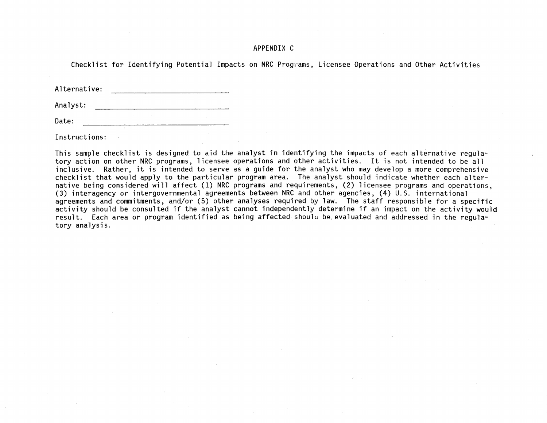#### APPENDIX C

Checklist for Identifying Potential Impacts on NRC Programs, Licensee Operations and Other Activities

| Alternative: |  |  |  |
|--------------|--|--|--|
| Analyst:     |  |  |  |

Date:

Instructions:

This sample checklist is designed to aid the analyst in identifying the impacts of each alternative regulatory action on other NRC programs, licensee operations and other activities. It is not intended to be all inclusive. Rather, it is intended to serve as a guide for the analyst who may develop a more comprehensive checklist that would apply to the particular program area. The analyst should indicate whether each alternative being considered will affect (1) NRC programs and requirements, (2) licensee programs and operations, (3) interagency or intergovernmental agreements between NRC and other agencies, (4) U.S. international agreements and commitments, and/or (5) other analyses required by law. The staff responsible for a specific activity should be consulted if the analyst cannot independently determine if an impact on the activity would result. Each area or program identified as being affected shoulu be. evaluated and addressed in the regulatory analysis.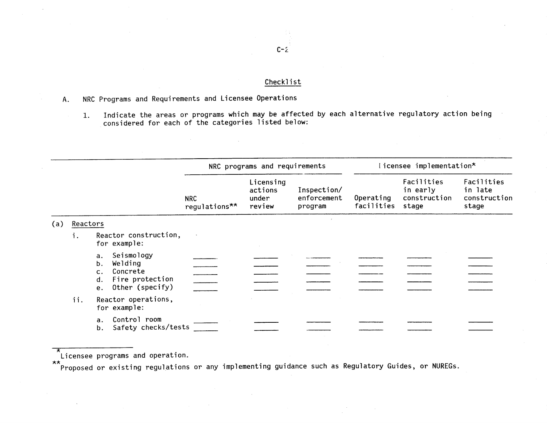# Checklist

# A. NRC Programs and Requirements and Licensee Operations

1. Indicate the areas or programs which may be affected by each alternative regulatory action being considered for each of the categories listed below:

|     |          |                                                                                                          |                             | NRC programs and requirements           |                                       |                         | licensee implementation*                        |                                                |
|-----|----------|----------------------------------------------------------------------------------------------------------|-----------------------------|-----------------------------------------|---------------------------------------|-------------------------|-------------------------------------------------|------------------------------------------------|
|     |          |                                                                                                          | <b>NRC</b><br>regulations** | Licensing<br>actions<br>under<br>review | Inspection/<br>enforcement<br>program | Operating<br>facilities | Facilities<br>in early<br>construction<br>stage | Facilities<br>in late<br>construction<br>stage |
| (a) | Reactors |                                                                                                          |                             |                                         |                                       |                         |                                                 |                                                |
|     | i.       | Reactor construction,<br>for example:                                                                    |                             |                                         |                                       |                         |                                                 |                                                |
|     |          | Seismology<br>a.<br>Welding<br>b.<br>Concrete<br>$C$ .<br>Fire protection<br>d.<br>Other (specify)<br>e. |                             |                                         |                                       |                         |                                                 |                                                |
|     | ii.      | Reactor operations,<br>for example:                                                                      |                             |                                         |                                       |                         |                                                 |                                                |
|     |          | Control room<br>a.<br>Safety checks/tests<br>b.                                                          |                             |                                         |                                       |                         |                                                 |                                                |

\* Licensee programs and operation.

\*\* Proposed or existing regulations or any implementing guidance such as Regulatory Guides, or NUREGs.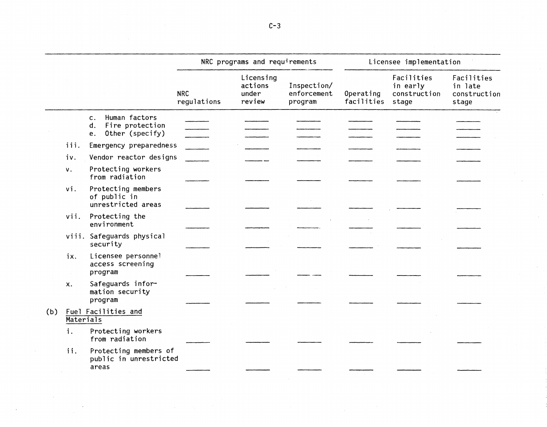|     |                |                                                                                         |                           | NRC programs and requirements           |                                       | Licensee implementation |                                                 |                                                |
|-----|----------------|-----------------------------------------------------------------------------------------|---------------------------|-----------------------------------------|---------------------------------------|-------------------------|-------------------------------------------------|------------------------------------------------|
|     |                |                                                                                         | <b>NRC</b><br>regulations | Licensing<br>actions<br>under<br>review | Inspection/<br>enforcement<br>program | Operating<br>facilities | Facilities<br>in early<br>construction<br>stage | Facilities<br>in late<br>construction<br>stage |
|     |                | Human factors<br>$c_{\rm}$ .<br>Fire protection<br>$d_{\star}$<br>Other (specify)<br>e. |                           |                                         |                                       |                         |                                                 |                                                |
|     | iii.           | Emergency preparedness                                                                  |                           |                                         |                                       |                         |                                                 |                                                |
|     | iv.            | Vendor reactor designs                                                                  |                           |                                         |                                       |                         |                                                 |                                                |
|     | V <sub>1</sub> | Protecting workers<br>from radiation                                                    |                           |                                         |                                       |                         |                                                 |                                                |
|     | vi.            | Protecting members<br>of public in<br>unrestricted areas                                |                           |                                         |                                       |                         |                                                 |                                                |
|     | vii.           | Protecting the<br>environment                                                           |                           |                                         |                                       |                         |                                                 |                                                |
|     |                | viii. Safeguards physical<br>security                                                   |                           |                                         |                                       |                         |                                                 |                                                |
|     | ix.            | Licensee personnel<br>access screening<br>program                                       |                           |                                         |                                       |                         |                                                 |                                                |
|     | X.             | Safeguards infor-<br>mation security<br>program                                         |                           |                                         |                                       |                         |                                                 |                                                |
| (b) | Materials      | Fuel Facilities and                                                                     |                           |                                         |                                       |                         |                                                 |                                                |
|     | i.             | Protecting workers<br>from radiation                                                    |                           |                                         |                                       |                         |                                                 |                                                |
|     | ii.            | Protecting members of<br>public in unrestricted                                         |                           |                                         |                                       |                         |                                                 |                                                |
|     |                | areas                                                                                   |                           |                                         |                                       |                         |                                                 |                                                |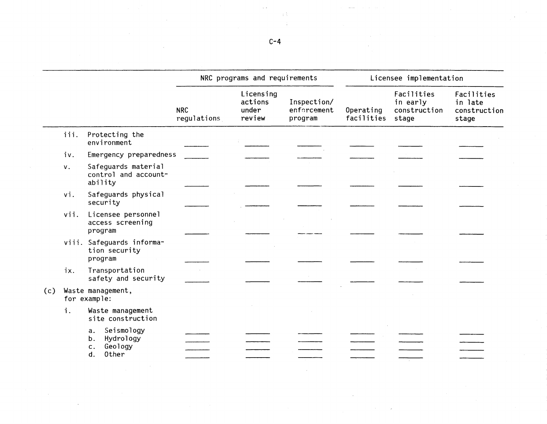|     |      |                                                        |                           | NRC programs and requirements           |                                       |                         | Licensee implementation                         |                                                |
|-----|------|--------------------------------------------------------|---------------------------|-----------------------------------------|---------------------------------------|-------------------------|-------------------------------------------------|------------------------------------------------|
|     |      |                                                        | <b>NRC</b><br>regulations | Licensing<br>actions<br>under<br>review | Inspection/<br>enforcement<br>program | Operating<br>facilities | Facilities<br>in early<br>construction<br>stage | Facilities<br>in late<br>construction<br>stage |
|     | iii. | Protecting the<br>environment                          |                           |                                         |                                       |                         |                                                 |                                                |
|     | iv.  | Emergency preparedness                                 |                           |                                         |                                       |                         |                                                 |                                                |
|     | ν.   | Safeguards material<br>control and account-<br>ability |                           |                                         |                                       |                         |                                                 |                                                |
|     | vi.  | Safeguards physical<br>security                        |                           |                                         |                                       |                         |                                                 |                                                |
|     | vii. | Licensee personnel<br>access screening<br>program      |                           |                                         |                                       |                         |                                                 |                                                |
|     |      | viii. Safeguards informa-<br>tion security<br>program  |                           |                                         |                                       |                         |                                                 |                                                |
|     | ix.  | Transportation<br>safety and security                  |                           |                                         |                                       |                         |                                                 |                                                |
| (c) |      | Waste management,<br>for example:                      |                           |                                         |                                       |                         |                                                 |                                                |
|     | i.   | Waste management<br>site construction                  |                           |                                         |                                       |                         |                                                 |                                                |
|     |      | Seismology<br>a.<br>Hydrology<br>b.                    |                           |                                         |                                       |                         |                                                 |                                                |
|     |      | Geology<br>$\mathsf{c}$ .<br>d.<br>Other               |                           |                                         |                                       |                         |                                                 |                                                |

 $C-4$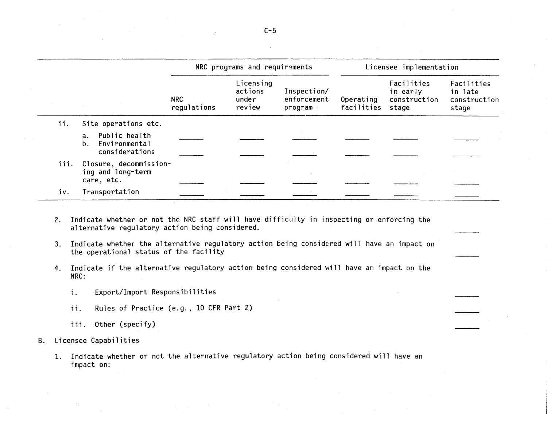|      |                                                              | NRC programs and requirements |                                         |                                       |                         | Licensee implementation                         |                                                |
|------|--------------------------------------------------------------|-------------------------------|-----------------------------------------|---------------------------------------|-------------------------|-------------------------------------------------|------------------------------------------------|
|      |                                                              | <b>NRC</b><br>regulations     | Licensing<br>actions<br>under<br>review | Inspection/<br>enforcement<br>program | Operating<br>facilities | Facilities<br>in early<br>construction<br>stage | Facilities<br>in late<br>construction<br>stage |
| ii.  | Site operations etc.                                         |                               |                                         |                                       |                         |                                                 |                                                |
|      | Public health<br>a.<br>Environmental<br>b.<br>considerations |                               |                                         |                                       |                         |                                                 |                                                |
| iii. | Closure, decommission-<br>ing and long-term<br>care, etc.    |                               |                                         |                                       |                         |                                                 |                                                |
| iv.  | Transportation                                               |                               |                                         |                                       |                         |                                                 |                                                |

- 2. Indicate whether or not the NRC staff will have difficulty in inspecting or enforcing the alternative regulatory action being considered.
- 3. Indicate whether the alternative regulatory action being considered will have an impact on the operational status of the facility
- 4. Indicate if the alternative regulatory action being considered will have an impact on the NRC:
	- i. Export/Import Responsibilities
	- ii. Rules of Practice (e.g., 10 CFR Part 2)
	- iii. Other (specify)

# B. Licensee Capabilities

1. Indicate whether or not the alternative regulatory action being considered will have an impact on: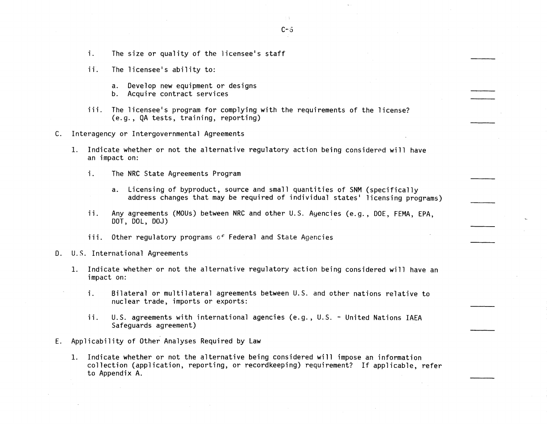- i. The size or quality of the licensee's staff
- ii. The licensee's ability to:
	- a. Develop new equipment or designs
	- b. Acquire contract services
- iii. The licensee's program for complying with the requirements of the license? (e.g., QA tests, training, reporting)
- C. Interagency or Intergovernmental Agreements
	- 1. Indicate whether or not the alternative regulatory action being considered will have an impact on:
		- i. The NRC State Agreements Program
			- a. Licensing of byproduct, source and small quantities of SNM (specifically address changes that may be required of individual states' licensing programs)
		- ii. Any agreements (MOUs) between NRC and other U.S. Ayencies (e.g., DOE, FEMA, EPA, DOT, DOL, DOJ)
		- iii. Other regulatory programs of Federal and State Agencies
- *D.* U.S. International Agreements
	- 1. Indicate whether or not the alternative regulatory action being considered will have an impact on:
		- i. Bilateral or multilateral agreements between U.S. and other nations relative to nuclear trade, imports or exports:
		- ii. U.S. agreements with international agencies (e.g., U.S. United Nations IAEA Safeguards agreement)
- E. Applicability of Other Analyses Required by Law
	- 1. Indicate whether or not the alternative being considered will impose an information collection (application, reporting, or recordkeeping) requirement? If applicable, refer to Appendix A.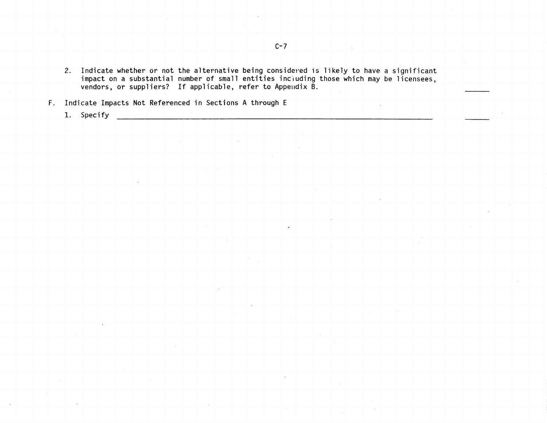2. Indicate whether or not the alternative being considered is likely to have a significant impact on a substantial number of small entities including those which may be licensees, vendors, or suppliers? If applicable, refer to Appendix B.

F. Indicate Impacts Not Referenced in Sections A through E

1. Specify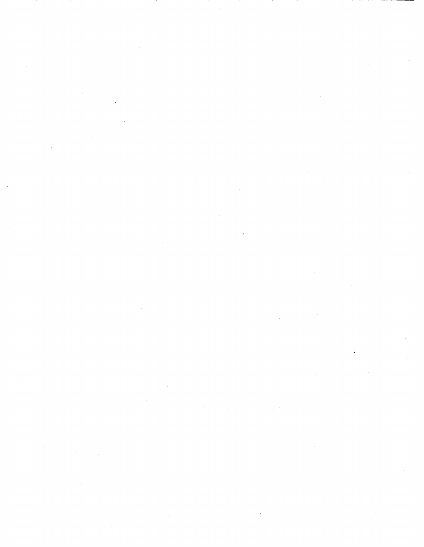$\label{eq:2.1} \frac{1}{\sqrt{2}}\int_{0}^{\infty}\frac{1}{\sqrt{2\pi}}\left(\frac{1}{\sqrt{2\pi}}\right)^{2}d\mu\left(\frac{1}{\sqrt{2\pi}}\right)\frac{d\mu}{d\mu}d\mu\left(\frac{1}{\sqrt{2\pi}}\right).$  $\mathcal{A}^{\text{max}}_{\text{max}}$  $\sim$ 

 $\label{eq:2.1} \mathcal{L}(\mathcal{L}^{\text{max}}_{\mathcal{L}}(\mathcal{L}^{\text{max}}_{\mathcal{L}}))\leq \mathcal{L}(\mathcal{L}^{\text{max}}_{\mathcal{L}}(\mathcal{L}^{\text{max}}_{\mathcal{L}}))$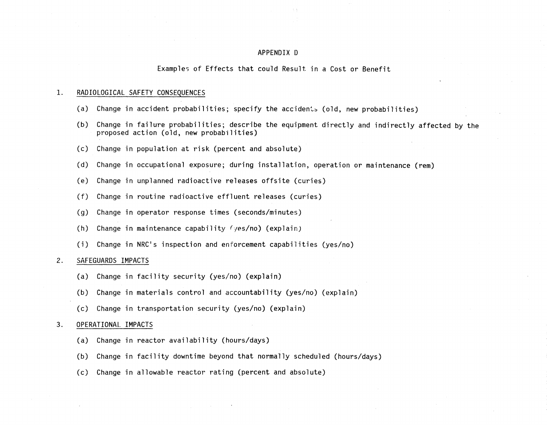#### APPENDIX *D*

#### Examples of Effects that could Result in a Cost or Benefit

# 1. RADIOLOGICAL SAFETY CONSEQUENCES

- (a) Change in accident probabilities; specify the accidents (old, new probabilities)
- (b) Change in failure probabilities; describe the equipment directly and indirectly affected by the proposed action (old, new probabilities)
- (c) Change in population at risk (percent and absolute)
- (d) Change in occupational exposure; during installation, operation or maintenance (rem)
- (e) Change in unplanned radioactive releases offsite (curies)
- (f) Change in routine radioactive effluent releases (curies)
- (g) Change in operator response times (seconds/minutes)
- (h) Change in maintenance capability  $f$ yes/no) (explain)
- (i) Change in NRC's inspection and enforcement capabilities (yes/no)

#### 2. SAFEGUARDS IMPACTS

- (a) Change in facility security (yes/no) (explain)
- (b) Change in materials control and accountability (yes/no) (explain)
- (c) Change in transportation security (yes/no) (explain)

#### 3. OPERATIONAL IMPACTS

- (a) Change in reactor availability (hours/days)
- (b) Change in facility downtime beyond that normally scheduled (hours/days)
- (c) Change in allowable reactor rating (percent and absolute)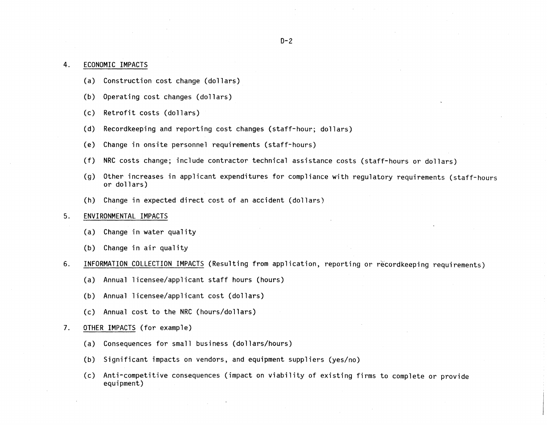#### 4. ECONOMIC IMPACTS

- (a) Construction cost change (dollars)
- (b) Operating cost changes (dollars)
- (c) Retrofit costs (dollars)
- (d) Recordkeeping and reporting cost changes (staff-hour; dollars)
- (e) Change in onsite personnel requirements (staff-hours)
- (f) NRC costs change; include contractor technical assistance costs (staff-hours or dollars)
- (g) Other increases in applicant expenditures for compliance with regulatory requirements (staff-hours or dollars)
- (h) Change in expected direct cost of an accident (dollars)

# 5. ENVIRONMENTAL IMPACTS

- (a) Change in water quality
- (b) Change in air quality
- 6. INFORMATION COLLECTION IMPACTS (Resulting from application, reporting or recordkeeping requirements)
	- (a) Annual licensee/applicant staff hours (hours)
	- (b) Annual licensee/applicant cost (dollars)
	- (c) Annual cost to the NRC (hours/dollars)
- 7. OTHER IMPACTS (for example)
	- (a) Consequences for small business (dollars/hours)
	- (b) Significant impacts on vendors, and equipment suppliers (yes/no)
	- (c) Anti-competitive consequences (impact on viability of existing firms to complete or provide equipment)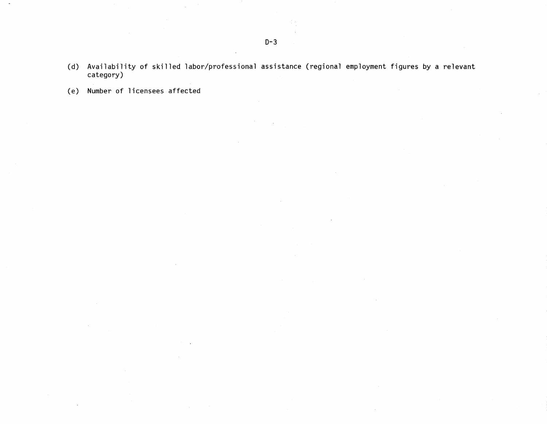- (d) Availability of skilled labor/professional assistance (regional employment figures by a relevant category)
- (e) Number of licensees affected